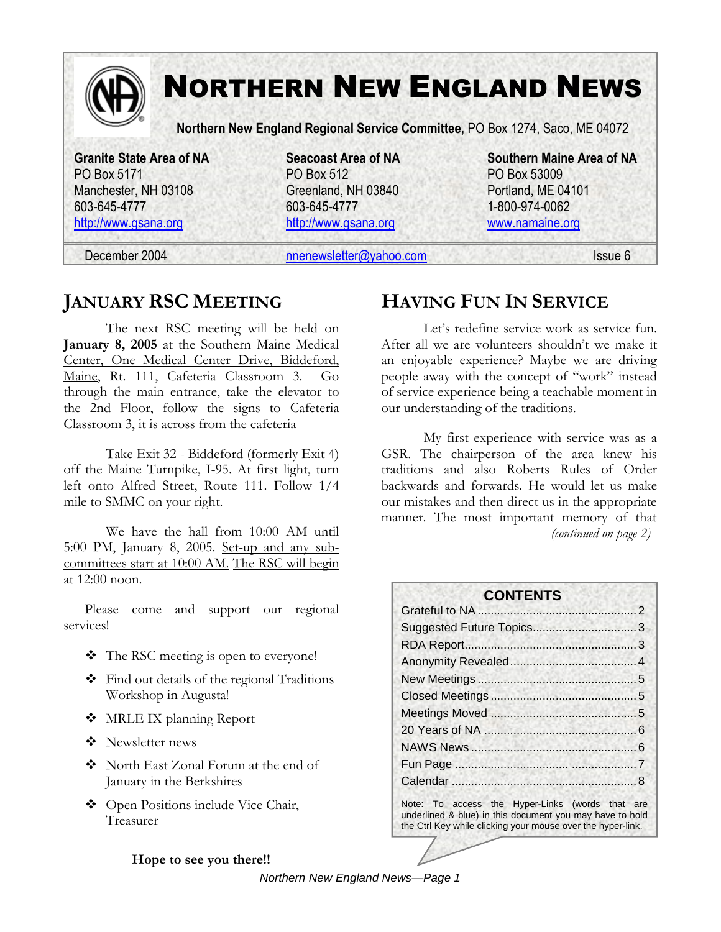

## **JANUARY RSC MEETING**

The next RSC meeting will be held on **January 8, 2005** at the Southern Maine Medical Center, One Medical Center Drive, Biddeford, Maine, Rt. 111, Cafeteria Classroom 3. Go through the main entrance, take the elevator to the 2nd Floor, follow the signs to Cafeteria Classroom 3, it is across from the cafeteria

Take Exit 32 - Biddeford (formerly Exit 4) off the Maine Turnpike, I-95. At first light, turn left onto Alfred Street, Route 111. Follow 1/4 mile to SMMC on your right.

We have the hall from 10:00 AM until 5:00 PM, January 8, 2005. Set-up and any subcommittees start at 10:00 AM. The RSC will begin at 12:00 noon.

Please come and support our regional services!

- **❖** The RSC meeting is open to everyone!
- Find out details of the regional Traditions Workshop in Augusta!
- ◆ MRLE IX planning Report
- ❖ Newsletter news
- North East Zonal Forum at the end of January in the Berkshires
- Open Positions include Vice Chair, Treasurer

#### **Hope to see you there!!**

**HAVING FUN IN SERVICE** 

Let's redefine service work as service fun. After all we are volunteers shouldn't we make it an enjoyable experience? Maybe we are driving people away with the concept of "work" instead of service experience being a teachable moment in our understanding of the traditions.

My first experience with service was as a GSR. The chairperson of the area knew his traditions and also Roberts Rules of Order backwards and forwards. He would let us make our mistakes and then direct us in the appropriate manner. The most important memory of that *(continued on page 2)* 

| <b>CONTENTS</b>                                 |  |
|-------------------------------------------------|--|
|                                                 |  |
|                                                 |  |
|                                                 |  |
|                                                 |  |
|                                                 |  |
|                                                 |  |
|                                                 |  |
|                                                 |  |
|                                                 |  |
|                                                 |  |
|                                                 |  |
| Note: To access the Hyper-Links (words that are |  |

underlined & blue) in this document you may have to hold the Ctrl Key while clicking your mouse over the hyper-link.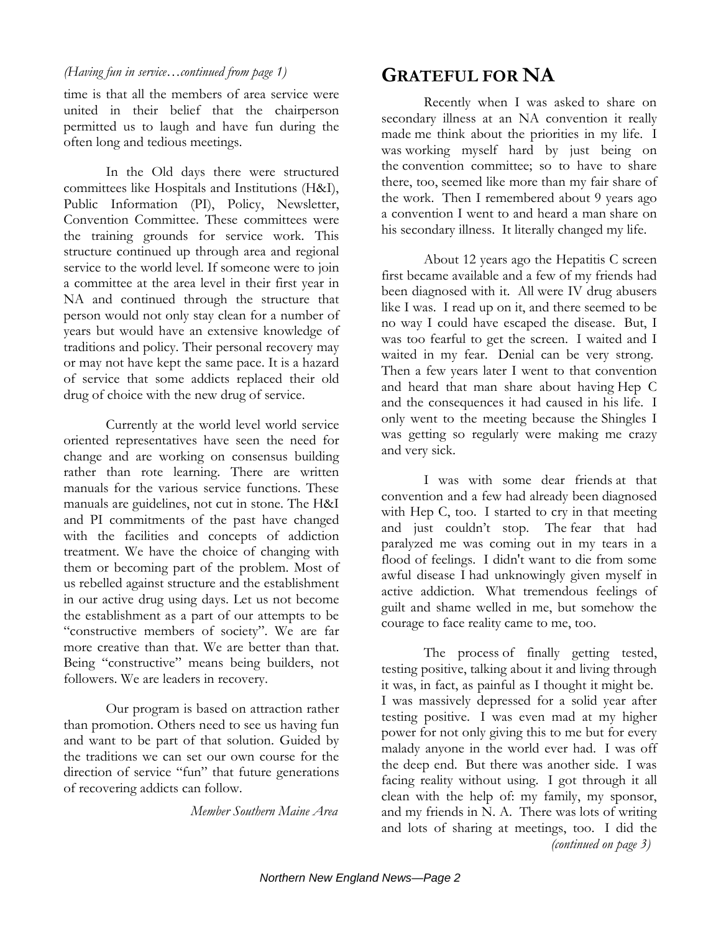time is that all the members of area service were united in their belief that the chairperson permitted us to laugh and have fun during the often long and tedious meetings.

In the Old days there were structured committees like Hospitals and Institutions (H&I), Public Information (PI), Policy, Newsletter, Convention Committee. These committees were the training grounds for service work. This structure continued up through area and regional service to the world level. If someone were to join a committee at the area level in their first year in NA and continued through the structure that person would not only stay clean for a number of years but would have an extensive knowledge of traditions and policy. Their personal recovery may or may not have kept the same pace. It is a hazard of service that some addicts replaced their old drug of choice with the new drug of service.

Currently at the world level world service oriented representatives have seen the need for change and are working on consensus building rather than rote learning. There are written manuals for the various service functions. These manuals are guidelines, not cut in stone. The H&I and PI commitments of the past have changed with the facilities and concepts of addiction treatment. We have the choice of changing with them or becoming part of the problem. Most of us rebelled against structure and the establishment in our active drug using days. Let us not become the establishment as a part of our attempts to be "constructive members of society". We are far more creative than that. We are better than that. Being "constructive" means being builders, not followers. We are leaders in recovery.

Our program is based on attraction rather than promotion. Others need to see us having fun and want to be part of that solution. Guided by the traditions we can set our own course for the direction of service "fun" that future generations of recovering addicts can follow.

*Member Southern Maine Area* 

## **GRATEFUL FOR NA**

Recently when I was asked to share on secondary illness at an NA convention it really made me think about the priorities in my life. I was working myself hard by just being on the convention committee; so to have to share there, too, seemed like more than my fair share of the work. Then I remembered about 9 years ago a convention I went to and heard a man share on his secondary illness. It literally changed my life.

About 12 years ago the Hepatitis C screen first became available and a few of my friends had been diagnosed with it. All were IV drug abusers like I was. I read up on it, and there seemed to be no way I could have escaped the disease. But, I was too fearful to get the screen. I waited and I waited in my fear. Denial can be very strong. Then a few years later I went to that convention and heard that man share about having Hep C and the consequences it had caused in his life. I only went to the meeting because the Shingles I was getting so regularly were making me crazy and very sick.

I was with some dear friends at that convention and a few had already been diagnosed with Hep C, too. I started to cry in that meeting and just couldn't stop. The fear that had paralyzed me was coming out in my tears in a flood of feelings. I didn't want to die from some awful disease I had unknowingly given myself in active addiction. What tremendous feelings of guilt and shame welled in me, but somehow the courage to face reality came to me, too.

The process of finally getting tested, testing positive, talking about it and living through it was, in fact, as painful as I thought it might be. I was massively depressed for a solid year after testing positive. I was even mad at my higher power for not only giving this to me but for every malady anyone in the world ever had. I was off the deep end. But there was another side. I was facing reality without using. I got through it all clean with the help of: my family, my sponsor, and my friends in N. A. There was lots of writing and lots of sharing at meetings, too. I did the *(continued on page 3)*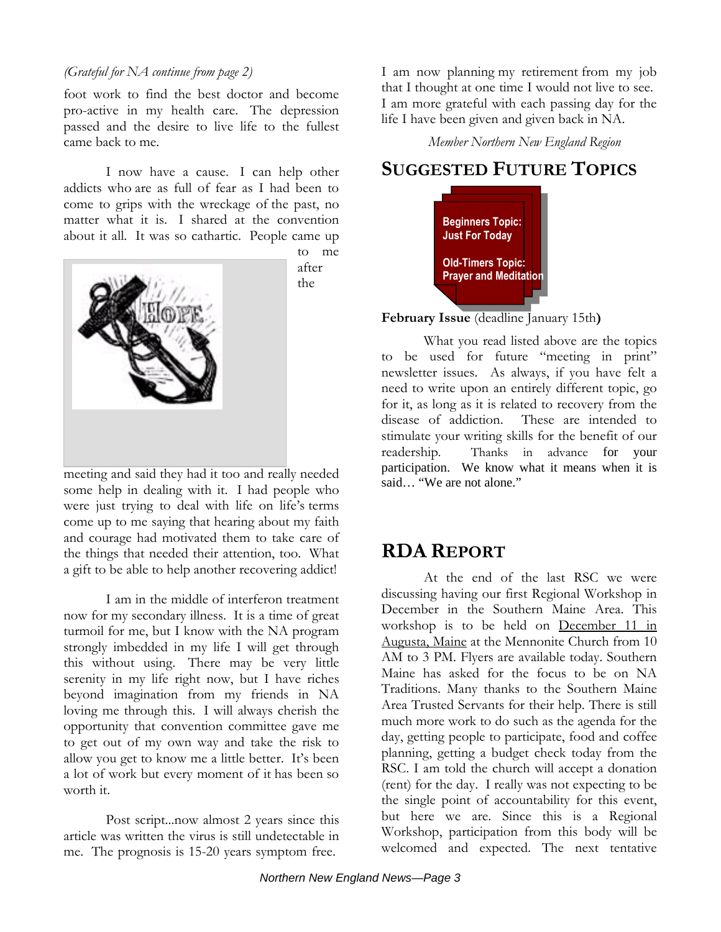#### *(Grateful for NA continue from page 2)*

foot work to find the best doctor and become pro-active in my health care. The depression passed and the desire to live life to the fullest came back to me.

I now have a cause. I can help other addicts who are as full of fear as I had been to come to grips with the wreckage of the past, no matter what it is. I shared at the convention about it all. It was so cathartic. People came up



to me after the

meeting and said they had it too and really needed some help in dealing with it. I had people who were just trying to deal with life on life's terms come up to me saying that hearing about my faith and courage had motivated them to take care of the things that needed their attention, too. What a gift to be able to help another recovering addict!

I am in the middle of interferon treatment now for my secondary illness. It is a time of great turmoil for me, but I know with the NA program strongly imbedded in my life I will get through this without using. There may be very little serenity in my life right now, but I have riches beyond imagination from my friends in NA loving me through this. I will always cherish the opportunity that convention committee gave me to get out of my own way and take the risk to allow you get to know me a little better. It's been a lot of work but every moment of it has been so worth it.

Post script...now almost 2 years since this article was written the virus is still undetectable in me. The prognosis is 15-20 years symptom free.

I am now planning my retirement from my job that I thought at one time I would not live to see. I am more grateful with each passing day for the life I have been given and given back in NA.

*Member Northern New England Region* 

## **SUGGESTED FUTURE TOPICS**



**February Issue** (deadline January 15th**)** 

What you read listed above are the topics to be used for future "meeting in print" newsletter issues. As always, if you have felt a need to write upon an entirely different topic, go for it, as long as it is related to recovery from the disease of addiction. These are intended to stimulate your writing skills for the benefit of our readership. Thanks in advance for your participation. We know what it means when it is said… "We are not alone."

#### **RDA REPORT**

At the end of the last RSC we were discussing having our first Regional Workshop in December in the Southern Maine Area. This workshop is to be held on December 11 in Augusta, Maine at the Mennonite Church from 10 AM to 3 PM. Flyers are available today. Southern Maine has asked for the focus to be on NA Traditions. Many thanks to the Southern Maine Area Trusted Servants for their help. There is still much more work to do such as the agenda for the day, getting people to participate, food and coffee planning, getting a budget check today from the RSC. I am told the church will accept a donation (rent) for the day. I really was not expecting to be the single point of accountability for this event, but here we are. Since this is a Regional Workshop, participation from this body will be welcomed and expected. The next tentative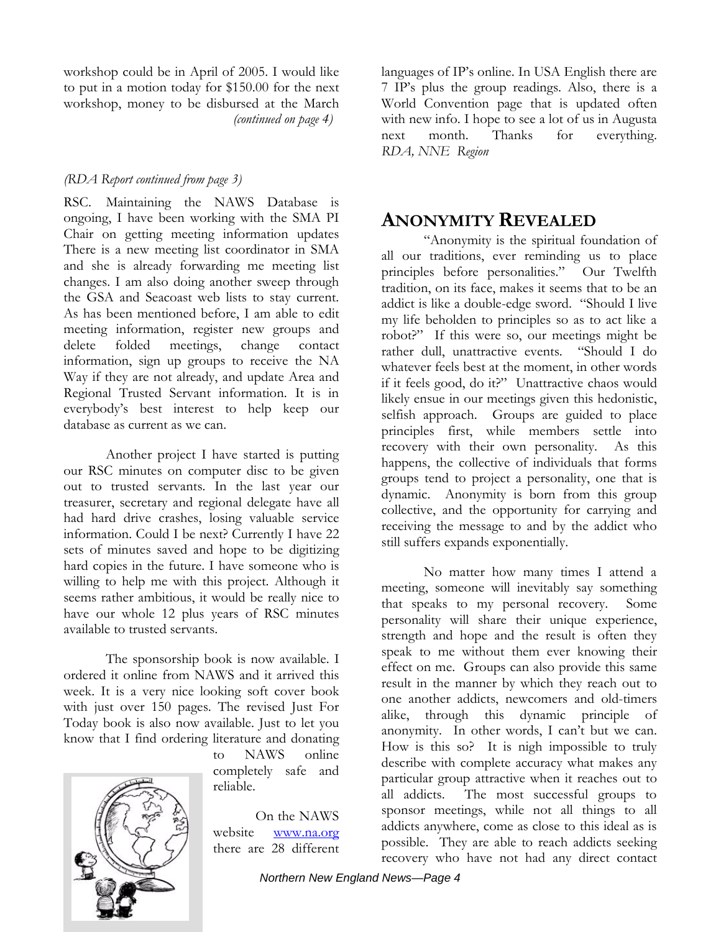workshop could be in April of 2005. I would like to put in a motion today for \$150.00 for the next workshop, money to be disbursed at the March *(continued on page 4)* 

#### *(RDA Report continued from page 3)*

RSC. Maintaining the NAWS Database is ongoing, I have been working with the SMA PI Chair on getting meeting information updates There is a new meeting list coordinator in SMA and she is already forwarding me meeting list changes. I am also doing another sweep through the GSA and Seacoast web lists to stay current. As has been mentioned before, I am able to edit meeting information, register new groups and delete folded meetings, change contact information, sign up groups to receive the NA Way if they are not already, and update Area and Regional Trusted Servant information. It is in everybody's best interest to help keep our database as current as we can.

Another project I have started is putting our RSC minutes on computer disc to be given out to trusted servants. In the last year our treasurer, secretary and regional delegate have all had hard drive crashes, losing valuable service information. Could I be next? Currently I have 22 sets of minutes saved and hope to be digitizing hard copies in the future. I have someone who is willing to help me with this project. Although it seems rather ambitious, it would be really nice to have our whole 12 plus years of RSC minutes available to trusted servants.

The sponsorship book is now available. I ordered it online from NAWS and it arrived this week. It is a very nice looking soft cover book with just over 150 pages. The revised Just For Today book is also now available. Just to let you know that I find ordering literature and donating



to NAWS online completely safe and reliable.

On the NAWS website www.na.org there are 28 different languages of IP's online. In USA English there are 7 IP's plus the group readings. Also, there is a World Convention page that is updated often with new info. I hope to see a lot of us in Augusta next month. Thanks for everything. *RDA, NNE Region* 

#### **ANONYMITY REVEALED**

"Anonymity is the spiritual foundation of all our traditions, ever reminding us to place principles before personalities." Our Twelfth tradition, on its face, makes it seems that to be an addict is like a double-edge sword. "Should I live my life beholden to principles so as to act like a robot?" If this were so, our meetings might be rather dull, unattractive events. "Should I do whatever feels best at the moment, in other words if it feels good, do it?" Unattractive chaos would likely ensue in our meetings given this hedonistic, selfish approach. Groups are guided to place principles first, while members settle into recovery with their own personality. As this happens, the collective of individuals that forms groups tend to project a personality, one that is dynamic. Anonymity is born from this group collective, and the opportunity for carrying and receiving the message to and by the addict who still suffers expands exponentially.

No matter how many times I attend a meeting, someone will inevitably say something that speaks to my personal recovery. Some personality will share their unique experience, strength and hope and the result is often they speak to me without them ever knowing their effect on me. Groups can also provide this same result in the manner by which they reach out to one another addicts, newcomers and old-timers alike, through this dynamic principle of anonymity. In other words, I can't but we can. How is this so? It is nigh impossible to truly describe with complete accuracy what makes any particular group attractive when it reaches out to all addicts. The most successful groups to sponsor meetings, while not all things to all addicts anywhere, come as close to this ideal as is possible. They are able to reach addicts seeking recovery who have not had any direct contact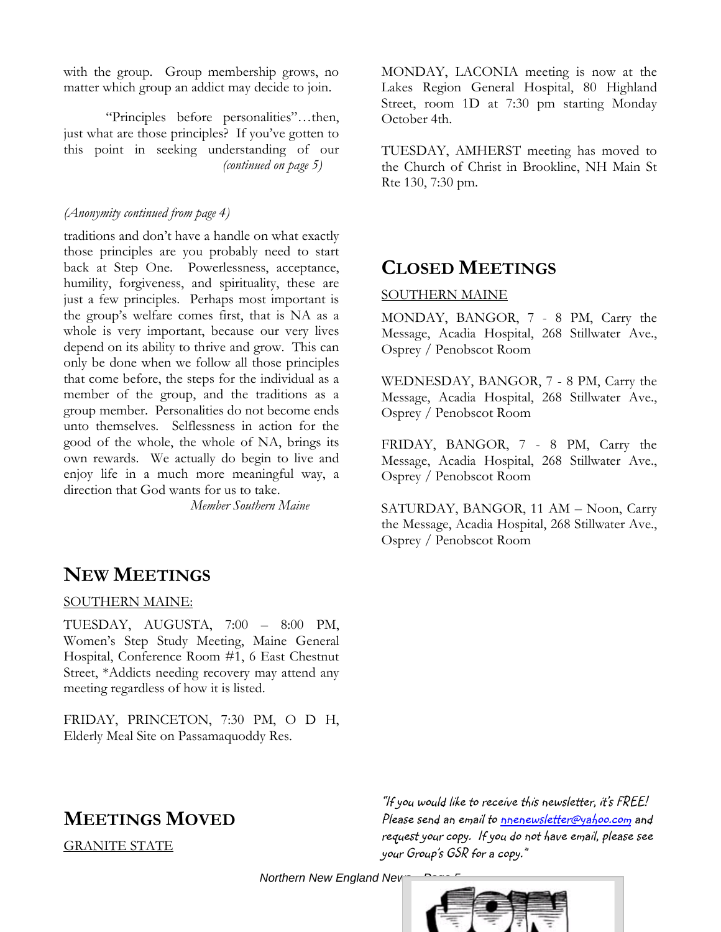with the group. Group membership grows, no matter which group an addict may decide to join.

"Principles before personalities"…then, just what are those principles? If you've gotten to this point in seeking understanding of our *(continued on page 5)* 

#### *(Anonymity continued from page 4)*

traditions and don't have a handle on what exactly those principles are you probably need to start back at Step One. Powerlessness, acceptance, humility, forgiveness, and spirituality, these are just a few principles. Perhaps most important is the group's welfare comes first, that is NA as a whole is very important, because our very lives depend on its ability to thrive and grow. This can only be done when we follow all those principles that come before, the steps for the individual as a member of the group, and the traditions as a group member. Personalities do not become ends unto themselves. Selflessness in action for the good of the whole, the whole of NA, brings its own rewards. We actually do begin to live and enjoy life in a much more meaningful way, a direction that God wants for us to take.

*Member Southern Maine* 

#### **NEW MEETINGS**

#### SOUTHERN MAINE:

TUESDAY, AUGUSTA, 7:00 – 8:00 PM, Women's Step Study Meeting, Maine General Hospital, Conference Room #1, 6 East Chestnut Street, \*Addicts needing recovery may attend any meeting regardless of how it is listed.

FRIDAY, PRINCETON, 7:30 PM, O D H, Elderly Meal Site on Passamaquoddy Res.

#### **MEETINGS MOVED**

GRANITE STATE

MONDAY, LACONIA meeting is now at the Lakes Region General Hospital, 80 Highland Street, room 1D at 7:30 pm starting Monday October 4th.

TUESDAY, AMHERST meeting has moved to the Church of Christ in Brookline, NH Main St Rte 130, 7:30 pm.

#### **CLOSED MEETINGS**

#### SOUTHERN MAINE

MONDAY, BANGOR, 7 - 8 PM, Carry the Message, Acadia Hospital, 268 Stillwater Ave., Osprey / Penobscot Room

WEDNESDAY, BANGOR, 7 - 8 PM, Carry the Message, Acadia Hospital, 268 Stillwater Ave., Osprey / Penobscot Room

FRIDAY, BANGOR, 7 - 8 PM, Carry the Message, Acadia Hospital, 268 Stillwater Ave., Osprey / Penobscot Room

SATURDAY, BANGOR, 11 AM – Noon, Carry the Message, Acadia Hospital, 268 Stillwater Ave., Osprey / Penobscot Room

"If you would like to receive this newsletter, it's FREE! Please send an email to nnenewsletter@yahoo.com and request your copy. If you do not have email, please see your Group's GSR for a copy."

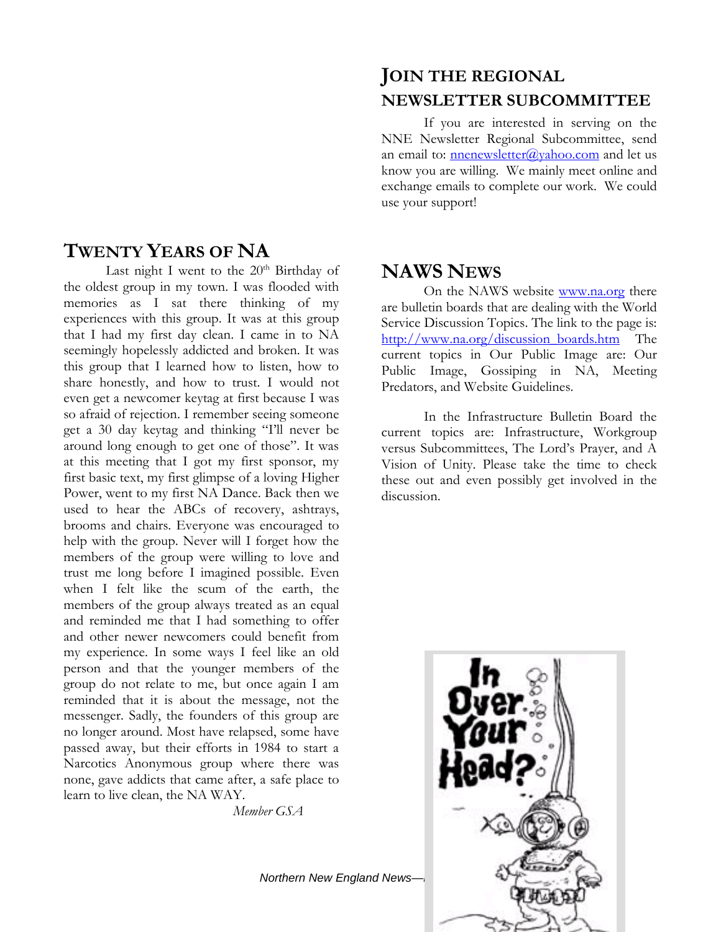#### **TWENTY YEARS OF NA**

Last night I went to the  $20<sup>th</sup>$  Birthday of the oldest group in my town. I was flooded with memories as I sat there thinking of my experiences with this group. It was at this group that I had my first day clean. I came in to NA seemingly hopelessly addicted and broken. It was this group that I learned how to listen, how to share honestly, and how to trust. I would not even get a newcomer keytag at first because I was so afraid of rejection. I remember seeing someone get a 30 day keytag and thinking "I'll never be around long enough to get one of those". It was at this meeting that I got my first sponsor, my first basic text, my first glimpse of a loving Higher Power, went to my first NA Dance. Back then we used to hear the ABCs of recovery, ashtrays, brooms and chairs. Everyone was encouraged to help with the group. Never will I forget how the members of the group were willing to love and trust me long before I imagined possible. Even when I felt like the scum of the earth, the members of the group always treated as an equal and reminded me that I had something to offer and other newer newcomers could benefit from my experience. In some ways I feel like an old person and that the younger members of the group do not relate to me, but once again I am reminded that it is about the message, not the messenger. Sadly, the founders of this group are no longer around. Most have relapsed, some have passed away, but their efforts in 1984 to start a Narcotics Anonymous group where there was none, gave addicts that came after, a safe place to learn to live clean, the NA WAY.

*Member GSA* 

#### **JOIN THE REGIONAL NEWSLETTER SUBCOMMITTEE**

If you are interested in serving on the NNE Newsletter Regional Subcommittee, send an email to: nnenewsletter@yahoo.com and let us know you are willing. We mainly meet online and exchange emails to complete our work. We could use your support!

## **NAWS NEWS**

On the NAWS website www.na.org there are bulletin boards that are dealing with the World Service Discussion Topics. The link to the page is: http://www.na.org/discussion\_boards.htm The current topics in Our Public Image are: Our Public Image, Gossiping in NA, Meeting Predators, and Website Guidelines.

In the Infrastructure Bulletin Board the current topics are: Infrastructure, Workgroup versus Subcommittees, The Lord's Prayer, and A Vision of Unity. Please take the time to check these out and even possibly get involved in the discussion.



**Northern New England News-**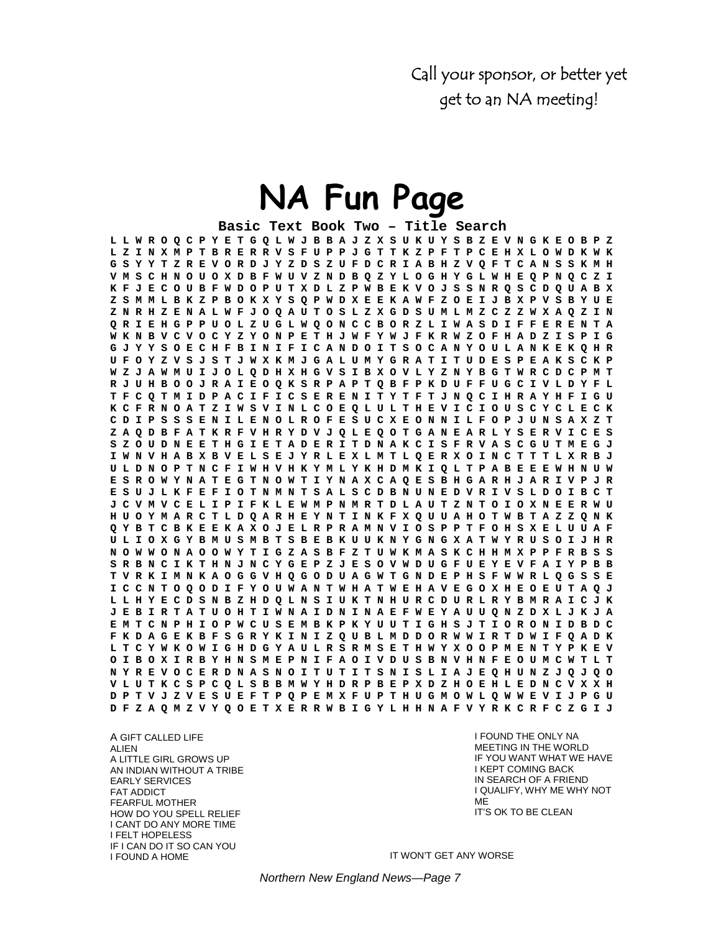Call your sponsor, or better yet get to an NA meeting!

# **NA Fun Page**

**Basic Text Book Two – Title Search L L W R O Q C P Y E T G Q L W J B B A J Z X S U K U Y S B Z E V N G K E O B P Z L Z I N X M P T B R E R R V S F U P P J G T T K Z P F T P C E H X L O W D K W K G S Y Y T Z R E V O R D J Y Z D S Z U F D C R I A B H Z V Q F T C A N S S K M H V M S C H N O U O X D B F W U V Z N D B Q Z Y L O G H Y G L W H E Q P N Q C Z I K F J E C O U B F W D O P U T X D L Z P W B E K V O J S S N R Q S C D Q U A B X Z S M M L B K Z P B O K X Y S Q P W D X E E K A W F Z O E I J B X P V S B Y U E Z N R H Z E N A L W F J O Q A U T O S L Z X G D S U M L M Z C Z Z W X A Q Z I N Q R I E H G P P U O L Z U G L W Q O N C C B O R Z L I W A S D I F F E R E N T A W K N B V C V O C Y Z Y O N P E T H J W F Y W J F K R W Z O F H A D Z I S P I G G J Y Y S O E C H F B I N I F I C A N D O I T S O C A N Y O U L A N K E K Q H R U F O Y Z V S J S T J W X K M J G A L U M Y G R A T I T U D E S P E A K S C K P W Z J A W M U I J O L Q D H X H G V S I B X O V L Y Z N Y B G T W R C D C P M T R J U H B O O J R A I E O Q K S R P A P T Q B F P K D U F F U G C I V L D Y F L T F C Q T M I D P A C I F I C S E R E N I T Y T F T J N Q C I H R A Y H F I G U K C F R N O A T Z I W S V I N L C O E Q L U L T H E V I C I O U S C Y C L E C K C D I P S S S E N I L E N O L R O F E S U C X E O N N I L F O P J U N S A X Z T Z A Q D B F A T K R F V H R Y D V J Q L E Q O T G A N E A R L Y S E R V I C E S S Z O U D N E E T H G I E T A D E R I T D N A K C I S F R V A S C G U T M E G J I W N V H A B X B V E L S E J Y R L E X L M T L Q E R X O I N C T T T L X R B J U L D N O P T N C F I W H V H K Y M L Y K H D M K I Q L T P A B E E E W H N U W E S R O W Y N A T E G T N O W T I Y N A X C A Q E S B H G A R H J A R I V P J R E S U J L K F E F I O T N M N T S A L S C D B N U N E D V R I V S L D O I B C T J C V M V C E L I P I F K L E W M P N M R T D L A U T Z N T O I O X N E E R W U H U O Y M A R C T L D Q A R H E Y N T I N K F X Q U U A H O T W B T A Z Z Q N K Q Y B T C B K E E K A X O J E L R P R A M N V I O S P P T F O H S X E L U U A F U L I O X G Y B M U S M B T S B E B K U U K N Y G N G X A T W Y R U S O I J H R N O W W O N A O O W Y T I G Z A S B F Z T U W K M A S K C H H M X P P F R B S S S R B N C I K T H N J N C Y G E P Z J E S O V W D U G F U E Y E V F A I Y P B B T V R K I M N K A O G G V H Q G O D U A G W T G N D E P H S F W W R L Q G S S E I C C N T O Q O D I F Y O U W A N T W H A T W E H A V E G O X H E O E U T A Q J L L H Y E C D S N B Z H D Q L N S I U K T N H U R C D U R L R Y B M R A I C J K J E B I R T A T U O H T I W N A I D N I N A E F W E Y A U U Q N Z D X L J K J A E M T C N P H I O P W C U S E M B K P K Y U U T I G H S J T I O R O N I D B D C F K D A G E K B F S G R Y K I N I Z Q U B L M D D O R W W I R T D W I F Q A D K L T C Y W K O W I G H D G Y A U L R S R M S E T H W Y X O O P M E N T Y P K E V O I B O X I R B Y H N S M E P N I F A O I V D U S B N V H N F E O U M C W T L T N Y R E V O C E R D N A S N O I T U T I T S N I S L I A J E Q H U N Z J Q J Q O V L U T K C S P C Q L S B B M W Y H D R P B E P X D Z H O E H L E D N C V X X H D P T V J Z V E S U E F T P Q P E M X F U P T H U G M O W L Q W W E V I J P G U D F Z A Q M Z V Y Q O E T X E R R W B I G Y L H H N A F V Y R K C R F C Z G I J**

A GIFT CALLED LIFE ALIEN A LITTLE GIRL GROWS UP AN INDIAN WITHOUT A TRIBE EARLY SERVICES FAT ADDICT FEARFUL MOTHER HOW DO YOU SPELL RELIEF I CANT DO ANY MORE TIME I FELT HOPELESS IF I CAN DO IT SO CAN YOU I FOUND A HOME

I FOUND THE ONLY NA MEETING IN THE WORLD IF YOU WANT WHAT WE HAVE I KEPT COMING BACK IN SEARCH OF A FRIEND I QUALIFY, WHY ME WHY NOT ME IT'S OK TO BE CLEAN

IT WON'T GET ANY WORSE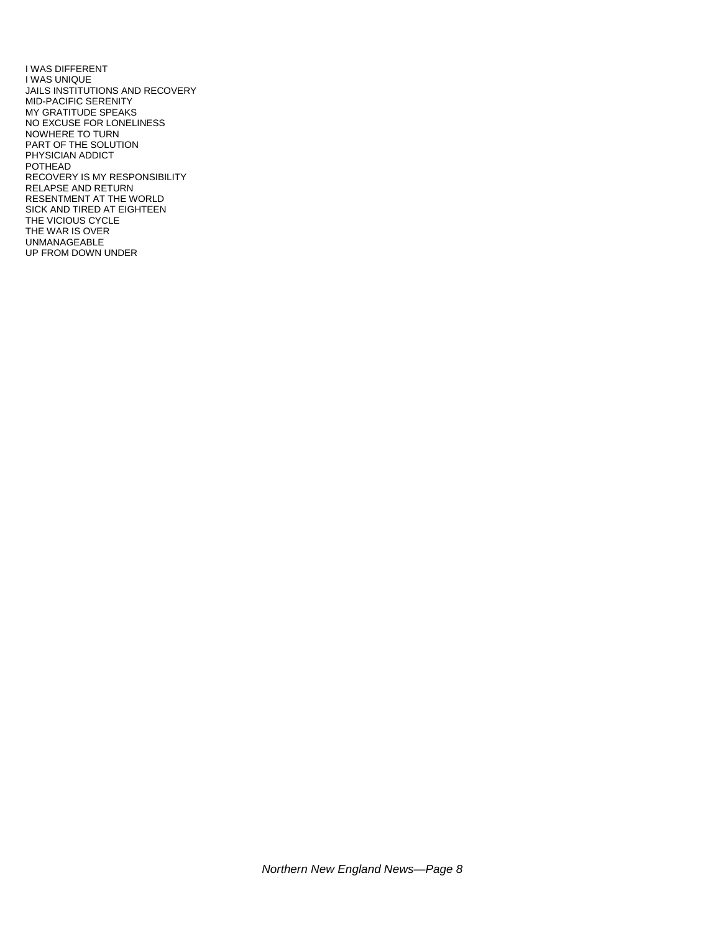I WAS DIFFERENT I WAS UNIQUE JAILS INSTITUTIONS AND RECOVERY MID-PACIFIC SERENITY MY GRATITUDE SPEAKS NO EXCUSE FOR LONELINESS NOWHERE TO TURN PART OF THE SOLUTION PHYSICIAN ADDICT POTHEAD RECOVERY IS MY RESPONSIBILITY RELAPSE AND RETURN RESENTMENT AT THE WORLD SICK AND TIRED AT EIGHTEEN THE VICIOUS CYCLE THE WAR IS OVER UNMANAGEABLE UP FROM DOWN UNDER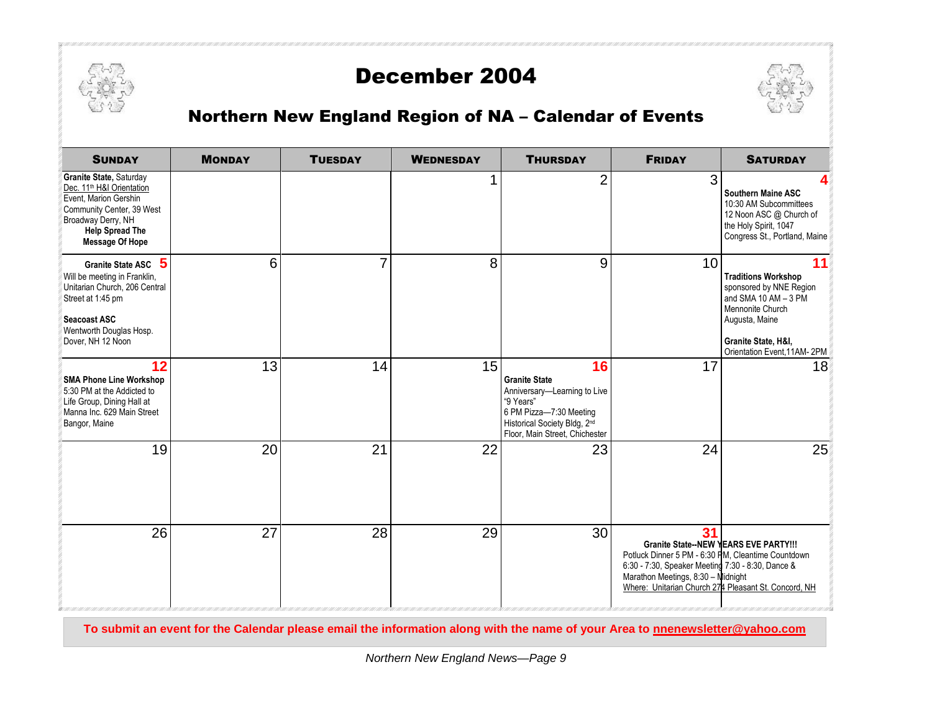

## December 2004



## Northern New England Region of NA – Calendar of Events

| <b>SUNDAY</b>                                                                                                                                                                                    | <b>MONDAY</b> | <b>TUESDAY</b> | <b>WEDNESDAY</b> | <b>THURSDAY</b>                                                                                                                                                      | <b>FRIDAY</b>                                                                                                                                                                                                                                               | <b>SATURDAY</b>                                                                                                                                                                 |
|--------------------------------------------------------------------------------------------------------------------------------------------------------------------------------------------------|---------------|----------------|------------------|----------------------------------------------------------------------------------------------------------------------------------------------------------------------|-------------------------------------------------------------------------------------------------------------------------------------------------------------------------------------------------------------------------------------------------------------|---------------------------------------------------------------------------------------------------------------------------------------------------------------------------------|
| Granite State, Saturday<br>Dec. 11 <sup>th</sup> H&I Orientation<br>Event, Marion Gershin<br>Community Center, 39 West<br>Broadway Derry, NH<br><b>Help Spread The</b><br><b>Message Of Hope</b> |               |                |                  | $\overline{2}$                                                                                                                                                       | 3                                                                                                                                                                                                                                                           | Southern Maine ASC<br>10:30 AM Subcommittees<br>12 Noon ASC @ Church of<br>the Holy Spirit, 1047<br>Congress St., Portland, Maine                                               |
| 5<br><b>Granite State ASC</b><br>Will be meeting in Franklin,<br>Unitarian Church, 206 Central<br>Street at 1:45 pm<br>Seacoast ASC<br>Wentworth Douglas Hosp.<br>Dover, NH 12 Noon              | 6             | $\overline{7}$ | 8                | 9                                                                                                                                                                    | 10                                                                                                                                                                                                                                                          | 11<br><b>Traditions Workshop</b><br>sponsored by NNE Region<br>and SMA 10 AM - 3 PM<br>Mennonite Church<br>Augusta, Maine<br>Granite State, H&I,<br>Orientation Event, 11AM-2PM |
| 12<br><b>SMA Phone Line Workshop</b><br>5:30 PM at the Addicted to<br>Life Group, Dining Hall at<br>Manna Inc. 629 Main Street<br>Bangor, Maine                                                  | 13            | 14             | 15               | 16<br><b>Granite State</b><br>Anniversary-Learning to Live<br>"9 Years"<br>6 PM Pizza-7:30 Meeting<br>Historical Society Bldg, 2nd<br>Floor, Main Street, Chichester | 17                                                                                                                                                                                                                                                          | 18                                                                                                                                                                              |
| 19                                                                                                                                                                                               | 20            | 21             | 22               | 23                                                                                                                                                                   | 24                                                                                                                                                                                                                                                          | 25                                                                                                                                                                              |
| 26                                                                                                                                                                                               | 27            | 28             | 29               | 30                                                                                                                                                                   | 31<br><b>Granite State--NEW YEARS EVE PARTY!!!</b><br>Potluck Dinner 5 PM - 6:30 PM, Cleantime Countdown<br>6:30 - 7:30, Speaker Meeting 7:30 - 8:30, Dance &<br>Marathon Meetings, 8:30 - Midnight<br>Where: Unitarian Church 274 Pleasant St. Concord, NH |                                                                                                                                                                                 |

**To submit an event for the Calendar please email the information along with the name of your Area to nnenewsletter@yahoo.com**